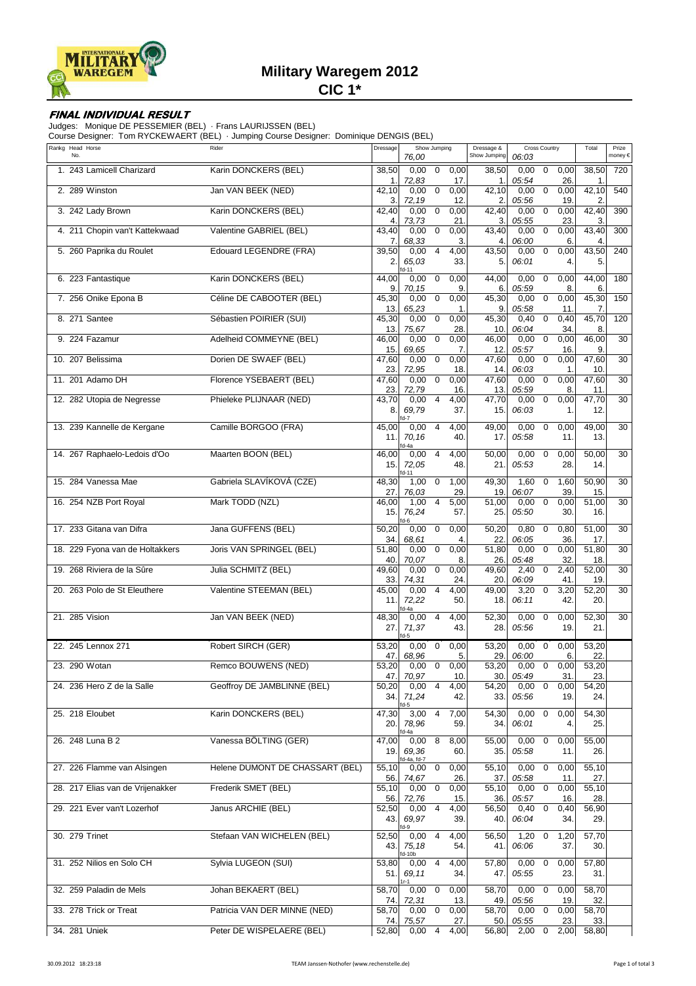

# **Military Waregem 2012**

**CIC 1\***

### **FINAL INDIVIDUAL RESULT**

Judges: Monique DE PESSEMIER (BEL) · Frans LAURIJSSEN (BEL)

Course Designer: Tom RYCKEWAERT (BEL) · Jumping Course Designer: Dominique DENGIS (BEL)

| Rankg Head Horse<br>No.          | Rider                           | Dressage            | Show Jumping<br>76,00                                          | Dressage &<br>Show Jumping | <b>Cross Country</b><br>06:03                               | Total                    | Prize<br>money € |
|----------------------------------|---------------------------------|---------------------|----------------------------------------------------------------|----------------------------|-------------------------------------------------------------|--------------------------|------------------|
| 1. 243 Lamicell Charizard        | Karin DONCKERS (BEL)            | 38,50<br>1.         | 0,00<br>$\mathbf 0$<br>0,00<br>72,83<br>17.                    | 38,50<br>1.                | 0,00<br>$\mathbf 0$<br>0,00<br>05:54<br>26.                 | 38,50<br>1.              | 720              |
| 2. 289 Winston                   | Jan VAN BEEK (NED)              | 42,10<br>3.         | 0,00<br>0,00<br>$\mathbf 0$<br>72,19<br>12.                    | 42,10<br>2.                | 0,00<br>0,00<br>$\mathbf 0$<br>05:56<br>19.                 | 42,10<br>$\overline{2}$  | 540              |
| 3. 242 Lady Brown                | Karin DONCKERS (BEL)            | 42,40<br>4.         | 0,00<br>$\mathbf 0$<br>0,00<br>73,73<br>21.                    | 42,40<br>3.                | 0,00<br>$\mathbf 0$<br>0,00<br>05:55<br>23.                 | 42,40<br>3.              | 390              |
| 4. 211 Chopin van't Kattekwaad   | Valentine GABRIEL (BEL)         | 43,40<br>7.         | 0,00<br>$\mathbf 0$<br>0,00<br>68,33<br>3.                     | 43,40<br>4.                | $\mathbf 0$<br>0,00<br>0,00<br>06:00<br>6.                  | 43,40<br>$\overline{4}$  | 300              |
| 5. 260 Paprika du Roulet         | <b>Edouard LEGENDRE (FRA)</b>   | 39,50<br>2.         | 0,00<br>$\overline{4}$<br>4,00<br>65,03<br>33.<br>$d-11$       | 43,50<br>5.                | $\mathbf 0$<br>0,00<br>0,00<br>06:01<br>4.                  | 43,50<br>5.              | 240              |
| 6. 223 Fantastique               | Karin DONCKERS (BEL)            | 44,00<br>9.         | 0,00<br>$\mathbf 0$<br>0,00<br>70,15<br>9.                     | 44,00<br>6.                | 0,00<br>$\mathbf 0$<br>0,00<br>05:59<br>8.                  | 44,00<br>6.              | 180              |
| 7. 256 Onike Epona B             | Céline DE CABOOTER (BEL)        | 45,30<br>13.        | 0,00<br>0<br>0,00<br>65,23<br>1.                               | 45,30<br>9                 | $\mathbf 0$<br>0,00<br>0,00<br>05:58<br>11.                 | 45,30<br>7.              | 150              |
| 8. 271 Santee                    | Sébastien POIRIER (SUI)         | 45,30<br>13.        | 0<br>0,00<br>0,00<br>75,67<br>28.                              | 45,30<br>10.               | $\mathbf 0$<br>0,40<br>0,40<br>06:04<br>34.                 | 45,70<br>8.              | 120              |
| 9. 224 Fazamur                   | Adelheid COMMEYNE (BEL)         | 46,00<br>15         | 0,00<br>$\mathbf 0$<br>0,00<br>69,65<br>7.                     | 46,00<br>12.               | 0,00<br>$\mathbf 0$<br>0,00<br>05:57<br>16.                 | 46,00<br>9.              | 30               |
| 10. 207 Belissima                | Dorien DE SWAEF (BEL)           | 47,60<br>23.        | 0,00<br>$\mathbf 0$<br>0,00<br>72,95<br>18.                    | 47,60<br>14.               | $\mathbf 0$<br>0,00<br>0,00<br>06:03<br>1.                  | 47,60<br>10.             | 30               |
| 11. 201 Adamo DH                 | Florence YSEBAERT (BEL)         | 47,60<br>23.        | 0,00<br>0<br>0,00<br>72,79<br>16.                              | 47,60<br>13.               | 0,00<br>$\mathbf 0$<br>0,00<br>05:59<br>8.                  | 47,60<br>11.             | 30               |
| 12. 282 Utopia de Negresse       | Phieleke PLIJNAAR (NED)         | 43,70<br>8.         | $\overline{4}$<br>0,00<br>4,00<br>69,79<br>37.                 | 47,70<br>15.               | 0,00<br>$\mathbf 0$<br>0,00<br>06:03<br>1.                  | 47,70<br>12.             | 30               |
| 13. 239 Kannelle de Kergane      | Camille BORGOO (FRA)            | 45,00<br>11.        | 0,00<br>4<br>4,00<br>70,16<br>40.<br>d-4a                      | 49,00<br>17.               | 0,00<br>$\mathbf 0$<br>0,00<br>05:58<br>11.                 | 49,00<br>13.             | 30               |
| 14. 267 Raphaelo-Ledois d'Oo     | Maarten BOON (BEL)              | 46,00<br>15.        | $\overline{4}$<br>4,00<br>0,00<br>72,05<br>48.<br>d-11         | 50,00<br>21.               | $\mathbf 0$<br>0,00<br>0,00<br>05:53<br>28.                 | 50,00<br>14.             | 30               |
| 15. 284 Vanessa Mae              | Gabriela SLAVÍKOVÁ (CZE)        | 48,30<br>27.        | 1,00<br>0<br>1,00<br>76,03<br>29.                              | 49,30<br>19.               | 1,60<br>$\mathbf 0$<br>1,60<br>39.<br>06:07                 | 50,90<br>15.             | 30               |
| 16. 254 NZB Port Royal           | Mark TODD (NZL)                 | 46,00<br>15.        | 1,00<br>$\overline{4}$<br>5,00<br>76,24<br>57.                 | 51,00<br>25.               | 0,00<br>$\mathbf 0$<br>0,00<br>05:50<br>30.                 | 51,00<br>16.             | 30               |
| 17. 233 Gitana van Difra         | Jana GUFFENS (BEL)              | 50,20<br>34         | 0,00<br>0<br>0,00<br>68,61<br>4.                               | 50,20<br>22.               | 0,80<br>0,80<br>$\mathbf 0$<br>06:05<br>36.                 | 51,00<br>17 <sub>2</sub> | 30               |
| 18. 229 Fyona van de Holtakkers  | Joris VAN SPRINGEL (BEL)        | 51,80<br>40         | 0,00<br>0<br>0,00<br>70,07<br>8.                               | 51,80<br>26.               | 0,00<br>$\mathbf 0$<br>0,00<br>05:48<br>32.                 | 51,80<br>18.             | 30               |
| 19. 268 Riviera de la Sûre       | Julia SCHMITZ (BEL)             | 49,60<br>33.        | 0,00<br>0,00<br>0<br>74,31<br>24.                              | 49,60<br>20.               | 2,40<br>2,40<br>$\mathbf 0$<br>06:09<br>41.                 | 52,00<br>19              | 30               |
| 20. 263 Polo de St Eleuthere     | Valentine STEEMAN (BEL)         | 45,00<br>11.        | 0,00<br>4,00<br>4<br>72,22<br>50.                              | 49,00<br>18.               | 3,20<br>$\mathbf 0$<br>3,20<br>06:11<br>42.                 | 52,20<br>20.             | 30               |
| 21. 285 Vision                   | Jan VAN BEEK (NED)              | 48,30<br>27.        | d-4a<br>0,00<br>4<br>4,00<br>71,37<br>43.<br>$d-5$             | 52,30<br>28.               | 0,00<br>$\mathbf 0$<br>0,00<br>05:56<br>19.                 | 52,30<br>21.             | 30               |
| 22. 245 Lennox 271               | Robert SIRCH (GER)              | 53,20               | 0,00<br>$\mathbf 0$<br>0,00                                    | 53,20                      | 0,00<br>$\mathbf{0}$<br>0,00                                | 53,20                    |                  |
| 23. 290 Wotan                    | Remco BOUWENS (NED)             | 47.<br>53,20        | 68,96<br>5.<br>$0,00$ 0<br>0,00                                | 29.<br>53,20               | 06:00<br>6.<br>0,00<br>$0,00$ 0                             | 22.<br>53,20             |                  |
| 24. 236 Hero Z de la Salle       | Geoffroy DE JAMBLINNE (BEL)     | 47.<br>50,20<br>34. | 70,97<br>10.<br>$0,00$ 4<br>4,00<br>71,24<br>42.               | 30.<br>54,20<br>33.        | 05:49<br>31.<br>$0,000$ 0<br>0,00<br>05:56<br>19.           | 23.<br>54,20<br>24.      |                  |
| 25. 218 Eloubet                  | Karin DONCKERS (BEL)            | 47,30<br>20.        | d-5<br>3,00<br>$\overline{4}$<br>7,00<br>78,96<br>59.          | 54,30<br>34.               | 0,00<br>$\mathbf 0$<br>0,00<br>06:01<br>4.                  | 54,30<br>25.             |                  |
| 26. 248 Luna B 2                 | Vanessa BÖLTING (GER)           | 47,00<br>19.1       | d-4a<br>0,00<br>8<br>8,00<br>69,36<br>60.                      | 55,00<br>35.               | 0,00<br>$\mathbf 0$<br>0,00<br>05:58<br>11.                 | 55,00<br>26.             |                  |
| 27. 226 Flamme van Alsingen      | Helene DUMONT DE CHASSART (BEL) | 55,10               | d-4a, fd-7<br>0,00<br>0<br>0,00                                | 55,10                      | 0,00<br>0<br>0,00                                           | 55,10                    |                  |
| 28. 217 Elias van de Vrijenakker | Frederik SMET (BEL)             | 56.<br>55,10        | 74,67<br>26.<br>$\mathbf 0$<br>0,00<br>0,00                    | 37.<br>55,10               | 05:58<br>11.<br>0,00<br>$\mathbf 0$<br>0,00                 | 27.<br>55,10             |                  |
| 29. 221 Ever van't Lozerhof      | Janus ARCHIE (BEL)              | 56.<br>52,50<br>43. | 72,76<br>15.<br>0,00<br>$\overline{4}$<br>4,00<br>69,97<br>39. | 36.<br>56,50<br>40.        | 05:57<br>16.<br>$\mathbf 0$<br>0,40<br>0,40<br>06:04<br>34. | 28.<br>56,90<br>29.      |                  |
| 30. 279 Trinet                   | Stefaan VAN WICHELEN (BEL)      | 52,50<br>43.I       | $d-9$<br>0,00<br>4<br>4,00<br>75,18<br>54.                     | 56,50<br>41.               | 1,20<br>$\mathbf 0$<br>1,20<br>06:06<br>37.                 | 57,70<br>30.             |                  |
| 31. 252 Nilios en Solo CH        | Sylvia LUGEON (SUI)             | 53,80<br>51.1       | d-10b<br>0,00<br>4<br>4,00<br>69,11<br>34.                     | 57,80<br>47.               | 0,00<br>$\mathbf 0$<br>0,00<br>05:55<br>23.                 | 57,80<br>31.             |                  |
| 32. 259 Paladin de Mels          | Johan BEKAERT (BEL)             | 58,70               | 0,00<br>$\mathbf 0$<br>0,00                                    | 58,70                      | 0,00<br>$\mathbf 0$<br>0,00                                 | 58,70                    |                  |
| 33. 278 Trick or Treat           | Patricia VAN DER MINNE (NED)    | 74.<br>58,70        | 72,31<br>13.<br>0,00<br>$\mathbf 0$<br>0,00                    | 49.<br>58,70               | 05:56<br>19.<br>$\mathbf 0$<br>0,00<br>0,00                 | 32.<br>58,70             |                  |
| 34. 281 Uniek                    | Peter DE WISPELAERE (BEL)       | 74.<br>52,80        | 27.<br>75,57<br>$0,00 \quad 4$<br>4,00                         | 50.<br>56,80               | 23.<br>05:55<br>$2,00 \quad 0$<br>2,00                      | 33.<br>58,80             |                  |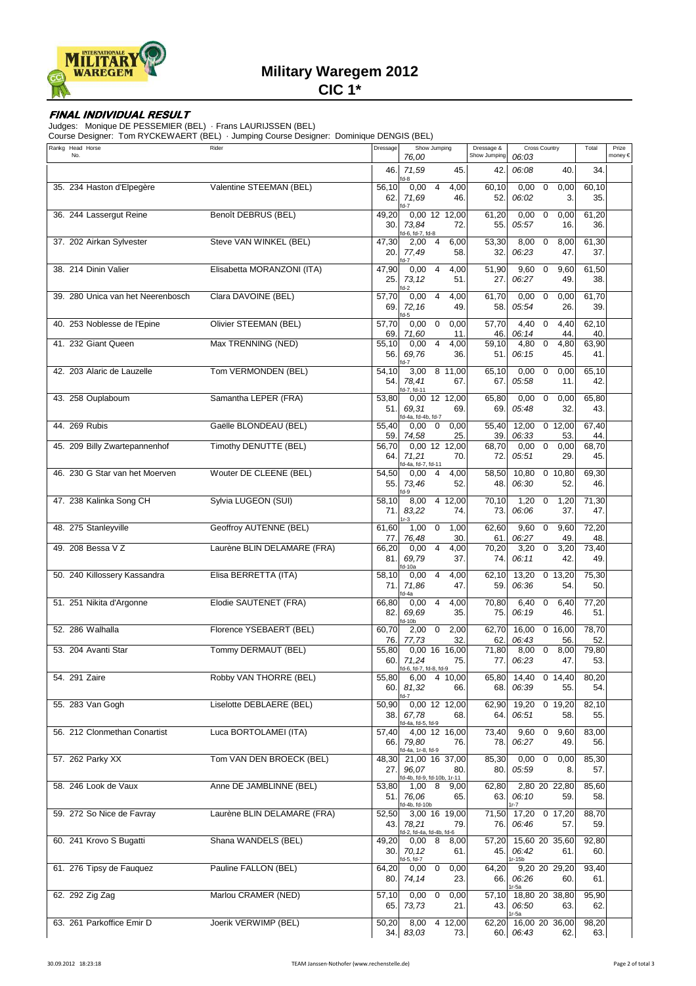

# **Military Waregem 2012**

**CIC 1\***

### **FINAL INDIVIDUAL RESULT**

Judges: Monique DE PESSEMIER (BEL) · Frans LAURIJSSEN (BEL)

Course Designer: Tom RYCKEWAERT (BEL) · Jumping Course Designer: Dominique DENGIS (BEL)

| Rankg Head Horse<br>No.           | Rider                        | Dressage      | Show Jumping<br>76,00                                        | Dressage &<br>Show Jumping | <b>Cross Country</b><br>06:03                | Total        | Prize<br>money € |
|-----------------------------------|------------------------------|---------------|--------------------------------------------------------------|----------------------------|----------------------------------------------|--------------|------------------|
|                                   |                              | 46.           | 71,59<br>45.                                                 | 42.                        | 06:08<br>40.                                 | 34.          |                  |
| 35. 234 Haston d'Elpegère         | Valentine STEEMAN (BEL)      | 56,10<br>62.  | d-8<br>$0,00$ 4<br>4,00<br>71,69<br>46.<br>d-7               | 60,10<br>52.               | $\mathbf 0$<br>0,00<br>0,00<br>06:02<br>3.   | 60,10<br>35. |                  |
| 36. 244 Lassergut Reine           | <b>Benoît DEBRUS (BEL)</b>   | 49,20<br>30.  | 0,00 12 12,00<br>73,84<br>72.<br>d-6, fd-7, fd-8             | 61,20<br>55.               | 0,00<br>$\mathbf 0$<br>0,00<br>05:57<br>16.  | 61,20<br>36. |                  |
| 37. 202 Airkan Sylvester          | Steve VAN WINKEL (BEL)       | 47,30<br>20.  | 2,00<br>4<br>6,00<br>77,49<br>58.<br>$d-7$                   | 53,30<br>32.               | 8,00<br>$\mathbf 0$<br>8,00<br>06:23<br>47.  | 61,30<br>37. |                  |
| 38. 214 Dinin Valier              | Elisabetta MORANZONI (ITA)   | 47,90<br>25.  | 0,00<br>4,00<br>$\overline{4}$<br>73,12<br>51.<br>d-2        | 51,90<br>27.               | 9,60<br>$\mathbf 0$<br>9,60<br>06:27<br>49.  | 61,50<br>38. |                  |
| 39. 280 Unica van het Neerenbosch | Clara DAVOINE (BEL)          | 57,70<br>69.  | 0,00<br>$\overline{4}$<br>4,00<br>72,16<br>49.<br>d-5        | 61,70<br>58.               | 0,00<br>$\mathbf{0}$<br>0,00<br>05:54<br>26. | 61,70<br>39. |                  |
| 40. 253 Noblesse de l'Epine       | <b>Olivier STEEMAN (BEL)</b> | 57,70<br>69.  | 0,00<br>$\mathbf 0$<br>0,00<br>71,60<br>11.                  | $\frac{1}{57,70}$<br>46.   | 4,40<br>0<br>4,40<br>44<br>06:14             | 62,10<br>40. |                  |
| 41. 232 Giant Queen               | Max TRENNING (NED)           | 55,10<br>56.  | 0,00<br>$\overline{4}$<br>4,00<br>69,76<br>36.               | 59,10<br>51.               | 4,80<br>0<br>4,80<br>06:15<br>45.            | 63,90<br>41. |                  |
| 42. 203 Alaric de Lauzelle        | Tom VERMONDEN (BEL)          | 54,10<br>54.  | 3,00 8 11,00<br>78,41<br>67.<br>d-7, fd-11                   | 65,10<br>67.               | 0,00<br>$\mathbf 0$<br>0,00<br>05:58<br>11.  | 65,10<br>42. |                  |
| 43. 258 Ouplaboum                 | Samantha LEPER (FRA)         | 53,80<br>51.  | 0,00 12 12,00<br>69,31<br>69.<br>d-4a, fd-4b, fd-7           | 65,80<br>69.               | 0,00<br>$\mathbf 0$<br>0,00<br>05:48<br>32.  | 65,80<br>43. |                  |
| 44. 269 Rubis                     | Gaëlle BLONDEAU (BEL)        | 55,40<br>59.  | 0,00<br>0,00<br>$\overline{0}$<br>74,58<br>25.               | 55,40<br>39.               | 12,00<br>$0$ 12,00<br>06:33<br>53            | 67,40<br>44  |                  |
| 45. 209 Billy Zwartepannenhof     | Timothy DENUTTE (BEL)        | 56,70<br>64.  | 0,00 12 12,00<br>71,21<br>70.<br>d-4a, fd-7, fd-11           | 68,70<br>72.               | 0,00<br>0,00<br>0<br>05:51<br>29.            | 68,70<br>45. |                  |
| 46. 230 G Star van het Moerven    | Wouter DE CLEENE (BEL)       | 54,50<br>55.  | 0,00<br>$\overline{4}$<br>4,00<br>73,46<br>52.<br>d-9        | 58,50<br>48.               | 10,80<br>0, 10, 80<br>06:30<br>52.           | 69,30<br>46. |                  |
| 47. 238 Kalinka Song CH           | Sylvia LUGEON (SUI)          | 58,10<br>71.  | 8,00<br>412,00<br>83,22<br>74.<br>$r-3$                      | 70,10<br>73.               | 1,20<br>1,20<br>$\mathbf 0$<br>06:06<br>37.  | 71,30<br>47. |                  |
| 48. 275 Stanleyville              | Geoffroy AUTENNE (BEL)       | 61,60<br>77.  | 1,00<br>$\overline{0}$<br>1,00<br>76,48<br>30.               | 62,60<br>61.               | 9,60<br>$\mathbf 0$<br>9,60<br>06:27<br>49   | 72,20<br>48. |                  |
| 49. 208 Bessa V Z                 | Laurène BLIN DELAMARE (FRA)  | 66,20<br>81.  | $\overline{4}$<br>0,00<br>4,00<br>69,79<br>37.<br>d-10a      | 70,20<br>74.               | $\mathbf 0$<br>3,20<br>3,20<br>06:11<br>42.  | 73,40<br>49. |                  |
| 50. 240 Killossery Kassandra      | Elisa BERRETTA (ITA)         | 58,10<br>71.  | 0,00<br>$\overline{4}$<br>4,00<br>71,86<br>47.<br>d-4a       | 62,10<br>59.               | 13,20<br>0, 13, 20<br>06:36<br>54.           | 75,30<br>50. |                  |
| 51. 251 Nikita d'Argonne          | Elodie SAUTENET (FRA)        | 66,80<br>82.  | 0,00<br>$\overline{4}$<br>4,00<br>69,69<br>35.<br>d-10b      | 70,80<br>75.               | $\mathbf 0$<br>6,40<br>6,40<br>06:19<br>46.  | 77,20<br>51. |                  |
| 52. 286 Walhalla                  | Florence YSEBAERT (BEL)      | 60,70<br>76.  | 2,00<br>2,00<br>$\overline{0}$<br>77,73<br>32.               | $\overline{6}$ 2,70<br>62. | 16,00<br>0, 16, 00<br>06:43<br>56.           | 78,70<br>52. |                  |
| 53. 204 Avanti Star               | Tommy DERMAUT (BEL)          | 55,80<br>60.  | $0,00$ 16<br>16,00<br>71,24<br>75.<br>fd-6, fd-7, fd-8, fd-9 | 71,80<br>77.               | 8,00<br>8,00<br>0<br>06:23<br>47.            | 79,80<br>53. |                  |
| 54. 291 Zaire                     | Robby VAN THORRE (BEL)       | 55,80<br>60.1 | 6,00<br>4 10,00<br>81,32<br>66.<br>$d-7$                     | 65,80<br>68.               | 14,40<br>0, 14, 40<br>06:39<br>55.           | 80,20<br>54. |                  |
| 55. 283 Van Gogh                  | Liselotte DEBLAERE (BEL)     | 50,90<br>38.1 | 0,00 12 12,00<br>67,78<br>68.<br>d-4a, fd-5, fd-9            | 62,90<br>64.               | 19,20<br>$0$ 19,20<br>06:51<br>58.           | 82,10<br>55. |                  |
| 56. 212 Clonmethan Conartist      | Luca BORTOLAMEI (ITA)        | 57,40<br>66.  | 4,00 12 16,00<br>79.80<br>76.<br>d-4a, 1r-8, fd-9            | 73,40<br>78.               | 9,60<br>$\mathbf 0$<br>9,60<br>06:27<br>49.  | 83,00<br>56. |                  |
| 57. 262 Parky XX                  | Tom VAN DEN BROECK (BEL)     | 48,30<br>27.1 | 21,00 16 37,00<br>96,07<br>80.<br>d-4b, fd-9, fd-10b, 1r-11  | 85,30<br>80.               | 0,00<br>0,00<br>0<br>05:59<br>8.             | 85,30<br>57. |                  |
| 58. 246 Look de Vaux              | Anne DE JAMBLINNE (BEL)      | 53,80<br>51.1 | 8<br>1,00<br>9,00<br>76,06<br>65.<br>d-4b, fd-10b            | 62,80<br>63.               | 2,80 20 22,80<br>06:10<br>59.                | 85,60<br>58. |                  |
| 59. 272 So Nice de Favray         | Laurène BLIN DELAMARE (FRA)  | 52,50<br>43.1 | 3,00 16 19,00<br>78,21<br>79.<br>d-2, fd-4a, fd-4b, fd-6     | 71,50<br>76.               | 17,20<br>0, 17, 20<br>06:46<br>57.           | 88,70<br>59. |                  |
| 60. 241 Krovo S Bugatti           | Shana WANDELS (BEL)          | 49,20<br>30.1 | 0,008<br>8,00<br>70,12<br>61.<br>d-5, fd-7                   | 57,20<br>45.               | 15,60 20 35,60<br>06:42<br>61.<br>1r-15b     | 92,80<br>60. |                  |
| 61. 276 Tipsy de Fauquez          | Pauline FALLON (BEL)         | 64,20<br>80.I | $0,00 \quad 0$<br>0,00<br>74,14<br>23.                       | 64,20<br>66.               | 9,20 20 29,20<br>06:26<br>60.<br>r-5a        | 93,40<br>61. |                  |
| 62. 292 Zig Zag                   | Marlou CRAMER (NED)          | 57,10<br>65.  | 0,00<br>$\mathsf 0$<br>0,00<br>73,73<br>21.                  | 57,10<br>43.1              | 18,80 20 38,80<br>06:50<br>63.<br>1r-5a      | 95,90<br>62. |                  |
| 63. 261 Parkoffice Emir D         | Joerik VERWIMP (BEL)         | 50,20         | $8,00$ 4 12,00<br>34. 83,03<br>73.                           | 62,20                      | 16,00 20 36,00<br>60. 06:43<br>62.           | 98,20<br>63. |                  |